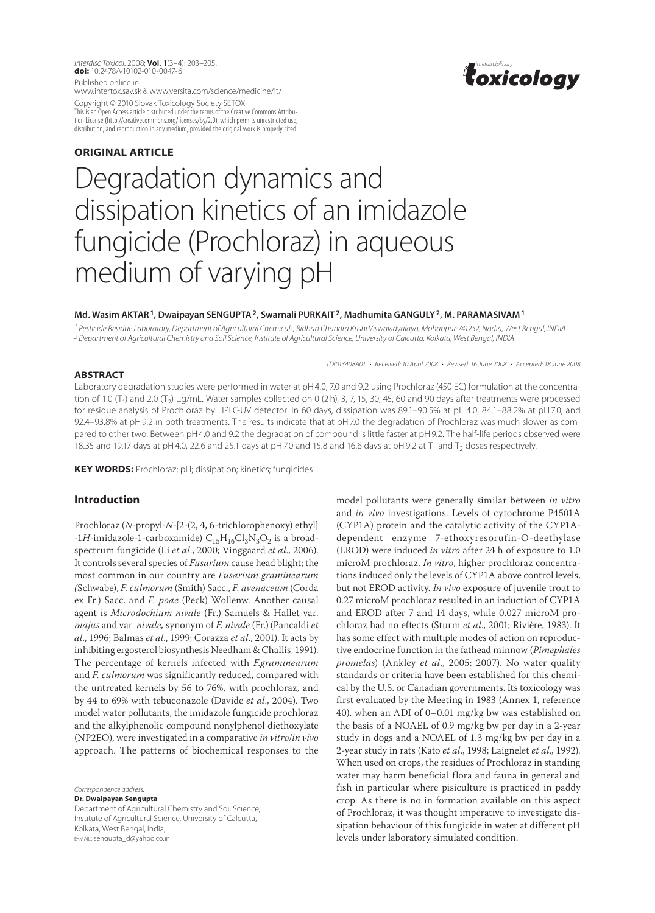*Interdisc Toxicol*. 2008; **Vol. 1**(3–4): 203–205. *interdisciplinary* **doi:** 10.2478/v10102-010-0047-6 Published online in:

www.intertox.sav.sk & www.versita.com/science/medicine/it/

Copyright © 2010 Slovak Toxicology Society SETOX This is an Open Access article distributed under the terms of the Creative Commons Attribution License (http://creativecommons.org/licenses/by/2.0), which permits unrestricted use, distribution, and reproduction in any medium, provided the original work is properly cited.

# **ORIGINAL article**

# Degradation dynamics and dissipation kinetics of an imidazole fungicide (Prochloraz) in aqueous medium of varying pH

#### **Md. Wasim Aktar1, Dwaipayan Sengupta2, Swarnali Purkait 2, Madhumita Ganguly2, M. Paramasivam1**

*1 Pesticide Residue Laboratory, Department of Agricultural Chemicals, Bidhan Chandra Krishi Viswavidyalaya, Mohanpur-741252, Nadia, West Bengal, India 2 Department of Agricultural Chemistry and Soil Science, Institute of Agricultural Science, University of Calcutta, Kolkata, West Bengal, India*

*ITX013408A01 • Received: 10 April 2008 • Revised: 16 June 2008 • Accepted: 18 June 2008*

#### **Abstract**

Laboratory degradation studies were performed in water at pH4.0, 7.0 and 9.2 using Prochloraz (450 EC) formulation at the concentration of 1.0  $(T_1)$  and 2.0  $(T_2)$  µg/mL. Water samples collected on 0 (2 h), 3, 7, 15, 30, 45, 60 and 90 days after treatments were processed for residue analysis of Prochloraz by HPLC-UV detector. In 60 days, dissipation was 89.1–90.5% at pH4.0, 84.1–88.2% at pH7.0, and 92.4–93.8% at pH9.2 in both treatments. The results indicate that at pH7.0 the degradation of Prochloraz was much slower as compared to other two. Between pH4.0 and 9.2 the degradation of compound is little faster at pH9.2. The half-life periods observed were 18.35 and 19.17 days at pH4.0, 22.6 and 25.1 days at pH7.0 and 15.8 and 16.6 days at pH9.2 at  $T_1$  and  $T_2$  doses respectively.

**KEY WORDS:** Prochloraz; pH; dissipation; kinetics; fungicides

# **Introduction**

Prochloraz (*N*-propyl-*N*-[2-(2, 4, 6-trichlorophenoxy) ethyl]  $-LH$ -imidazole-1-carboxamide)  $C_{15}H_{16}Cl_3N_3O_2$  is a broadspectrum fungicide (Li *et al*., 2000; Vinggaard *et al*., 2006). It controls several species of *Fusarium* cause head blight; the most common in our country are *Fusarium graminearum (*Schwabe), *F. culmorum* (Smith) Sacc., *F. avenaceum* (Corda ex Fr.) Sacc. and *F. poae* (Peck) Wollenw. Another causal agent is *Microdochium nivale* (Fr.) Samuels & Hallet var. *majus* and var. *nivale,* synonym of *F. nivale* (Fr.)(Pancaldi *et al*., 1996; Balmas *et al*., 1999; Corazza *et al*., 2001). It acts by inhibiting ergosterol biosynthesis Needham & Challis, 1991). The percentage of kernels infected with *F.graminearum*  and *F. culmorum* was significantly reduced, compared with the untreated kernels by 56 to 76%, with prochloraz, and by 44 to 69% with tebuconazole (Davide *et al*., 2004). Two model water pollutants, the imidazole fungicide prochloraz and the alkylphenolic compound nonylphenol diethoxylate (NP2EO), were investigated in a comparative *in vitro*/*in vivo* approach. The patterns of biochemical responses to the

**Dr. Dwaipayan Sengupta**

model pollutants were generally similar between *in vitro* and *in vivo* investigations. Levels of cytochrome P4501A (CYP1A) protein and the catalytic activity of the CYP1Adependent enzyme 7-ethoxyresorufin-O-deethylase (EROD) were induced *in vitro* after 24 h of exposure to 1.0 microM prochloraz. *In vitro*, higher prochloraz concentrations induced only the levels of CYP1A above control levels, but not EROD activity. *In vivo* exposure of juvenile trout to 0.27 microM prochloraz resulted in an induction of CYP1A and EROD after 7 and 14 days, while 0.027 microM prochloraz had no effects (Sturm *et al*., 2001; Rivière, 1983). It has some effect with multiple modes of action on reproductive endocrine function in the fathead minnow (*Pimephales promelas*) (Ankley *et al*., 2005; 2007). No water quality standards or criteria have been established for this chemical by the U.S. or Canadian governments. Its toxicology was first evaluated by the Meeting in 1983 (Annex 1, reference 40), when an ADI of 0–0.01 mg/kg bw was established on the basis of a NOAEL of 0.9 mg/kg bw per day in a 2-year study in dogs and a NOAEL of 1.3 mg/kg bw per day in a 2-year study in rats (Kato *et al*., 1998; Laignelet *et al*., 1992). When used on crops, the residues of Prochloraz in standing water may harm beneficial flora and fauna in general and fish in particular where pisiculture is practiced in paddy crop. As there is no in formation available on this aspect of Prochloraz, it was thought imperative to investigate dissipation behaviour of this fungicide in water at different pH levels under laboratory simulated condition.

*Correspondence address:* 

Department of Agricultural Chemistry and Soil Science, Institute of Agricultural Science, University of Calcutta, Kolkata, West Bengal, India, e-mail: sengupta\_d@yahoo.co.in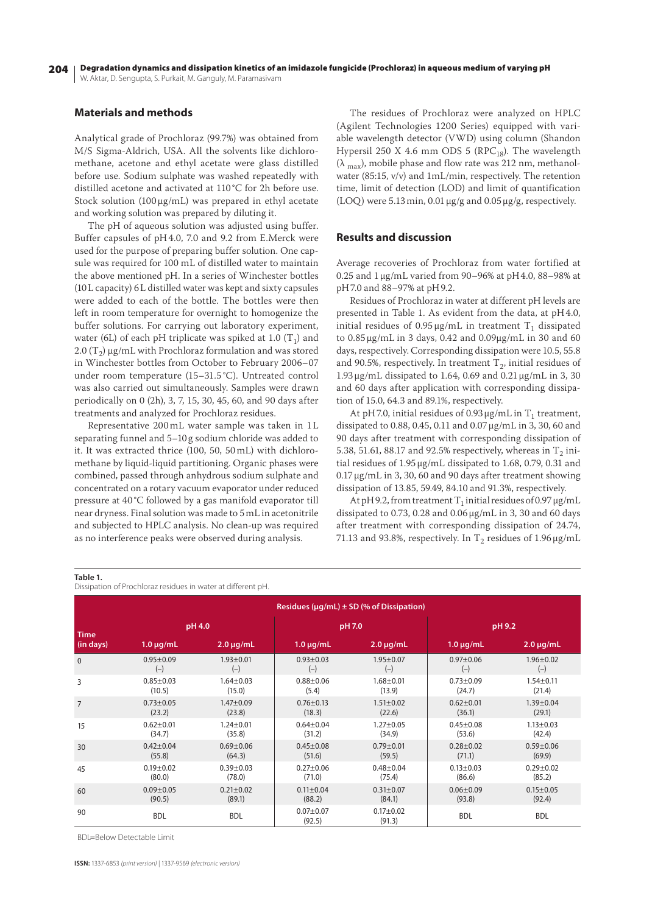204 W. Aktar, D. Sengupta, S. Purkait, M. Ganguly, M. Paramasivam Degradation dynamics and dissipation kinetics of an imidazole fungicide (Prochloraz) in aqueous medium of varying pH

### **Materials and methods**

Analytical grade of Prochloraz (99.7%) was obtained from M/S Sigma-Aldrich, USA. All the solvents like dichloromethane, acetone and ethyl acetate were glass distilled before use. Sodium sulphate was washed repeatedly with distilled acetone and activated at 110 °C for 2h before use. Stock solution  $(100 \mu\text{g/mL})$  was prepared in ethyl acetate and working solution was prepared by diluting it.

The pH of aqueous solution was adjusted using buffer. Buffer capsules of pH4.0, 7.0 and 9.2 from E.Merck were used for the purpose of preparing buffer solution. One capsule was required for 100 mL of distilled water to maintain the above mentioned pH. In a series of Winchester bottles (10L capacity) 6L distilled water was kept and sixty capsules were added to each of the bottle. The bottles were then left in room temperature for overnight to homogenize the buffer solutions. For carrying out laboratory experiment, water (6L) of each pH triplicate was spiked at 1.0  $(T_1)$  and 2.0 (T<sub>2</sub>)  $\mu$ g/mL with Prochloraz formulation and was stored in Winchester bottles from October to February 2006*–*07 under room temperature (15*–*31.5 °C). Untreated control was also carried out simultaneously. Samples were drawn periodically on 0 (2h), 3, 7, 15, 30, 45, 60, and 90 days after treatments and analyzed for Prochloraz residues.

Representative 200 mL water sample was taken in 1L separating funnel and 5*–*10 g sodium chloride was added to it. It was extracted thrice (100, 50, 50 mL) with dichloromethane by liquid-liquid partitioning. Organic phases were combined, passed through anhydrous sodium sulphate and concentrated on a rotary vacuum evaporator under reduced pressure at 40 °C followed by a gas manifold evaporator till near dryness. Final solution was made to 5mL in acetonitrile and subjected to HPLC analysis. No clean-up was required as no interference peaks were observed during analysis.

The residues of Prochloraz were analyzed on HPLC (Agilent Technologies 1200 Series) equipped with variable wavelength detector (VWD) using column (Shandon Hypersil 250 X 4.6 mm ODS 5 (RPC<sub>18</sub>). The wavelength  $(\lambda_{\text{max}})$ , mobile phase and flow rate was 212 nm, methanolwater (85:15, v/v) and 1mL/min, respectively. The retention time, limit of detection (LOD) and limit of quantification (LOQ) were 5.13min, 0.01μg/g and 0.05μg/g, respectively.

#### **Results and discussion**

Average recoveries of Prochloraz from water fortified at 0.25 and 1μg/mL varied from 90*–*96% at pH4.0, 88*–*98% at pH7.0 and 88*–*97% at pH9.2.

Residues of Prochloraz in water at different pH levels are presented in Table 1. As evident from the data, at pH4.0, initial residues of  $0.95 \mu$ g/mL in treatment T<sub>1</sub> dissipated to 0.85 μg/mL in 3 days, 0.42 and 0.09μg/mL in 30 and 60 days, respectively. Corresponding dissipation were 10.5, 55.8 and 90.5%, respectively. In treatment  $T_2$ , initial residues of 1.93μg/mL dissipated to 1.64, 0.69 and 0.21μg/mL in 3, 30 and 60 days after application with corresponding dissipation of 15.0, 64.3 and 89.1%, respectively.

At pH7.0, initial residues of 0.93  $\mu$ g/mL in T<sub>1</sub> treatment, dissipated to 0.88, 0.45, 0.11 and 0.07μg/mL in 3, 30, 60 and 90 days after treatment with corresponding dissipation of 5.38, 51.61, 88.17 and 92.5% respectively, whereas in  $T_2$  initial residues of 1.95μg/mL dissipated to 1.68, 0.79, 0.31 and 0.17μg/mL in 3, 30, 60 and 90 days after treatment showing dissipation of 13.85, 59.49, 84.10 and 91.3%, respectively.

At pH9.2, from treatment  $T_1$  initial residues of 0.97  $\mu$ g/mL dissipated to 0.73, 0.28 and 0.06μg/mL in 3, 30 and 60 days after treatment with corresponding dissipation of 24.74, 71.13 and 93.8%, respectively. In  $T_2$  residues of 1.96  $\mu$ g/mL

#### **Table 1.**

Dissipation of Prochloraz residues in water at different pH.

| Residues ( $\mu$ g/mL) $\pm$ SD (% of Dissipation) |                 |                 |                         |                         |                 |                 |  |
|----------------------------------------------------|-----------------|-----------------|-------------------------|-------------------------|-----------------|-----------------|--|
| <b>Time</b><br>(in days)                           | pH 4.0          |                 | pH 7.0                  |                         | pH 9.2          |                 |  |
|                                                    | $1.0 \mu g/mL$  | $2.0 \mu g/mL$  | $1.0 \mu$ g/mL          | $2.0 \mu g/mL$          | $1.0 \mu g/mL$  | $2.0 \mu g/mL$  |  |
| $\mathbf{0}$                                       | $0.95 \pm 0.09$ | $1.93 \pm 0.01$ | $0.93 \pm 0.03$         | $1.95 \pm 0.07$         | $0.97 + 0.06$   | $1.96 \pm 0.02$ |  |
|                                                    | $(-)$           | $(-)$           | $(-)$                   | $(-)$                   | $(-)$           | $(-)$           |  |
| 3                                                  | $0.85 \pm 0.03$ | $1.64 \pm 0.03$ | $0.88 + 0.06$           | $1.68 + 0.01$           | $0.73 \pm 0.09$ | $1.54 \pm 0.11$ |  |
|                                                    | (10.5)          | (15.0)          | (5.4)                   | (13.9)                  | (24.7)          | (21.4)          |  |
| $\overline{7}$                                     | $0.73 \pm 0.05$ | $1.47 + 0.09$   | $0.76 \pm 0.13$         | $1.51 \pm 0.02$         | $0.62 \pm 0.01$ | $1.39 \pm 0.04$ |  |
|                                                    | (23.2)          | (23.8)          | (18.3)                  | (22.6)                  | (36.1)          | (29.1)          |  |
| 15                                                 | $0.62 \pm 0.01$ | $1.24 \pm 0.01$ | $0.64 \pm 0.04$         | $1.27 \pm 0.05$         | $0.45 \pm 0.08$ | $1.13 \pm 0.03$ |  |
|                                                    | (34.7)          | (35.8)          | (31.2)                  | (34.9)                  | (53.6)          | (42.4)          |  |
| 30                                                 | $0.42 \pm 0.04$ | $0.69 \pm 0.06$ | $0.45 \pm 0.08$         | $0.79 + 0.01$           | $0.28 + 0.02$   | $0.59 + 0.06$   |  |
|                                                    | (55.8)          | (64.3)          | (51.6)                  | (59.5)                  | (71.1)          | (69.9)          |  |
| 45                                                 | $0.19 + 0.02$   | $0.39 \pm 0.03$ | $0.27 \pm 0.06$         | $0.48 + 0.04$           | $0.13 \pm 0.03$ | $0.29 + 0.02$   |  |
|                                                    | (80.0)          | (78.0)          | (71.0)                  | (75.4)                  | (86.6)          | (85.2)          |  |
| 60                                                 | $0.09 + 0.05$   | $0.21 \pm 0.02$ | $0.11 \pm 0.04$         | $0.31 \pm 0.07$         | $0.06 \pm 0.09$ | $0.15 \pm 0.05$ |  |
|                                                    | (90.5)          | (89.1)          | (88.2)                  | (84.1)                  | (93.8)          | (92.4)          |  |
| 90                                                 | <b>BDL</b>      | <b>BDL</b>      | $0.07 + 0.07$<br>(92.5) | $0.17 + 0.02$<br>(91.3) | <b>BDL</b>      | <b>BDL</b>      |  |

BDL=Below Detectable Limit